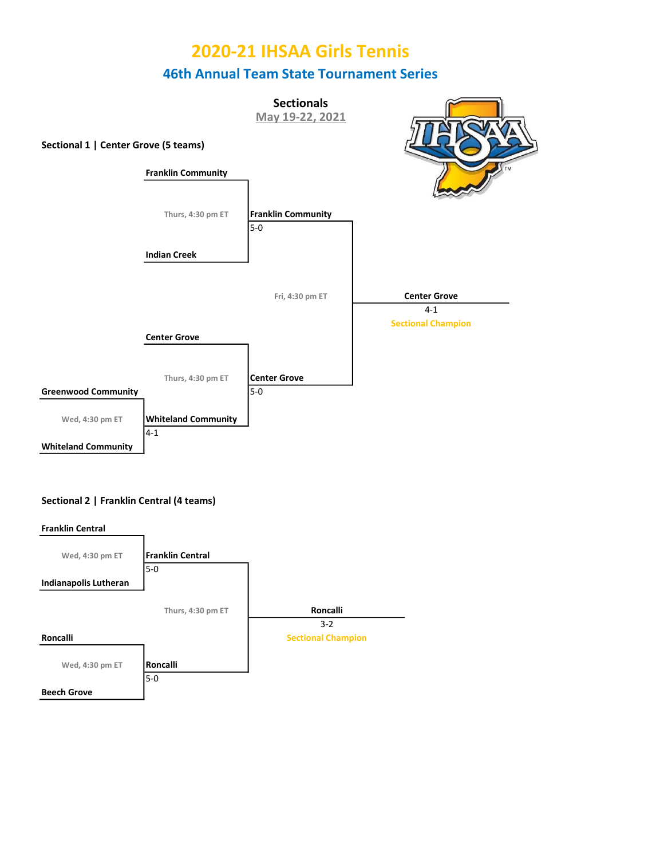

### Sectional 2 | Franklin Central (4 teams)

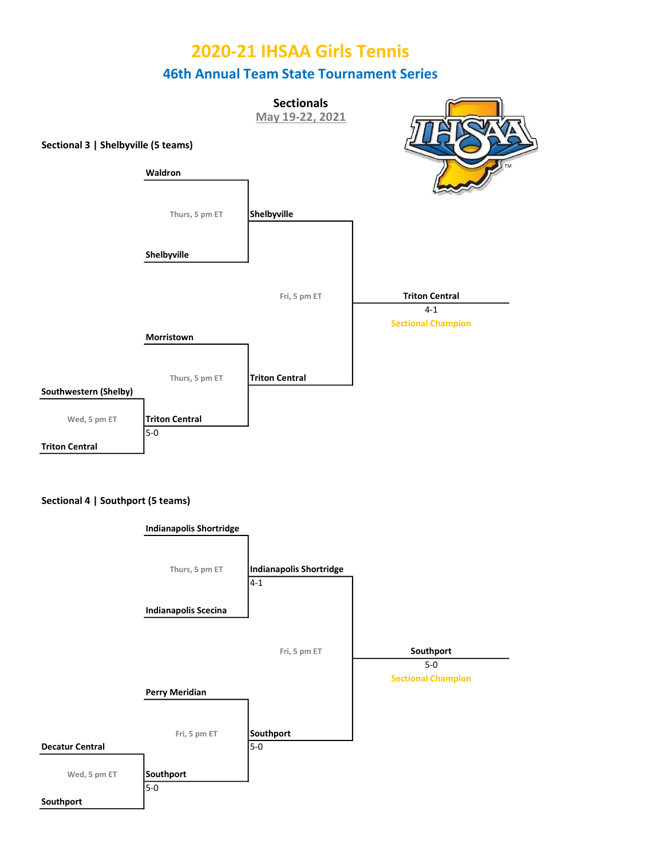



#### Sectional 4 | Southport (5 teams)

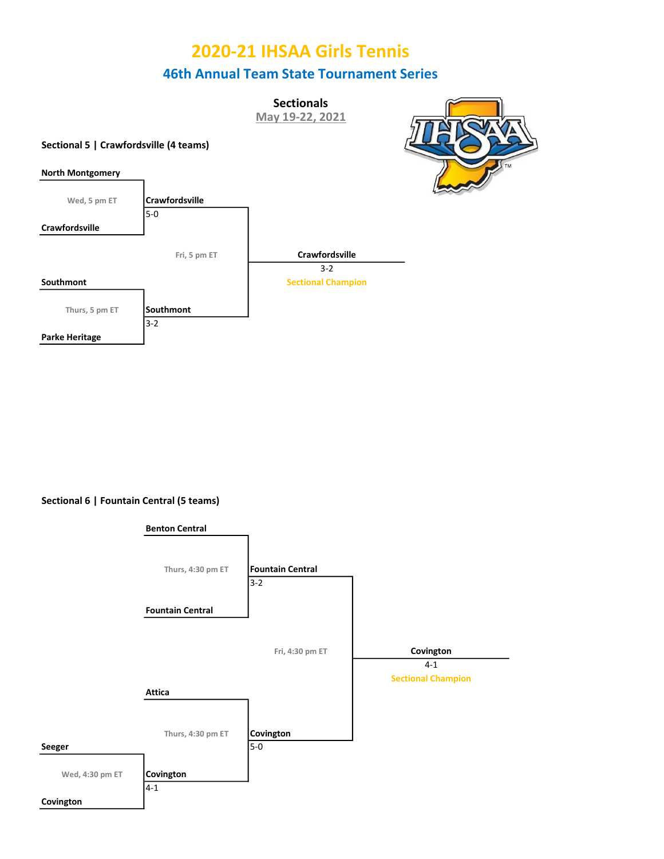**Sectionals** 

May 19-22, 2021

### Sectional 5 | Crawfordsville (4 teams)





Sectional 6 | Fountain Central (5 teams)

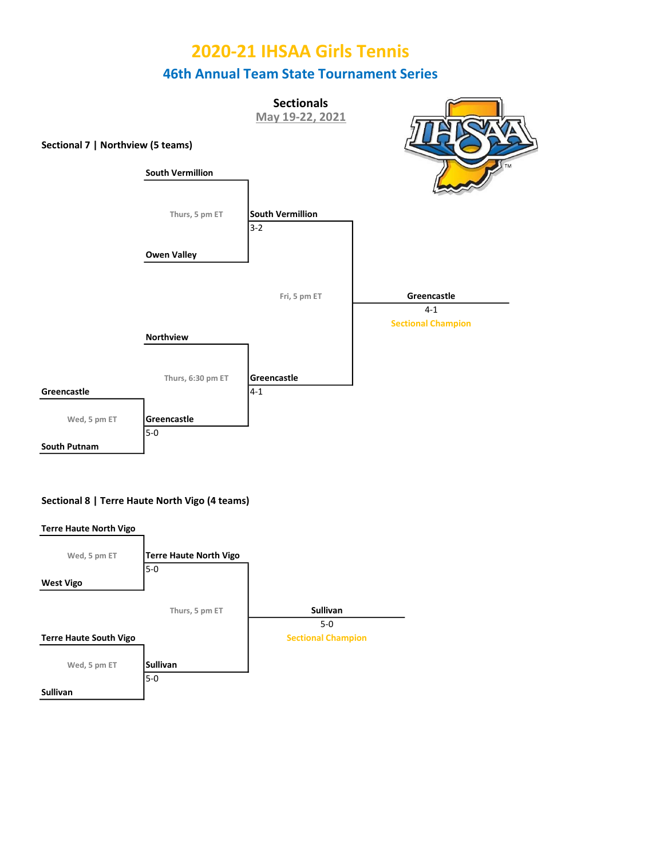

### Sectional 8 | Terre Haute North Vigo (4 teams)



# 2020-21 IHSAA Girls Tennis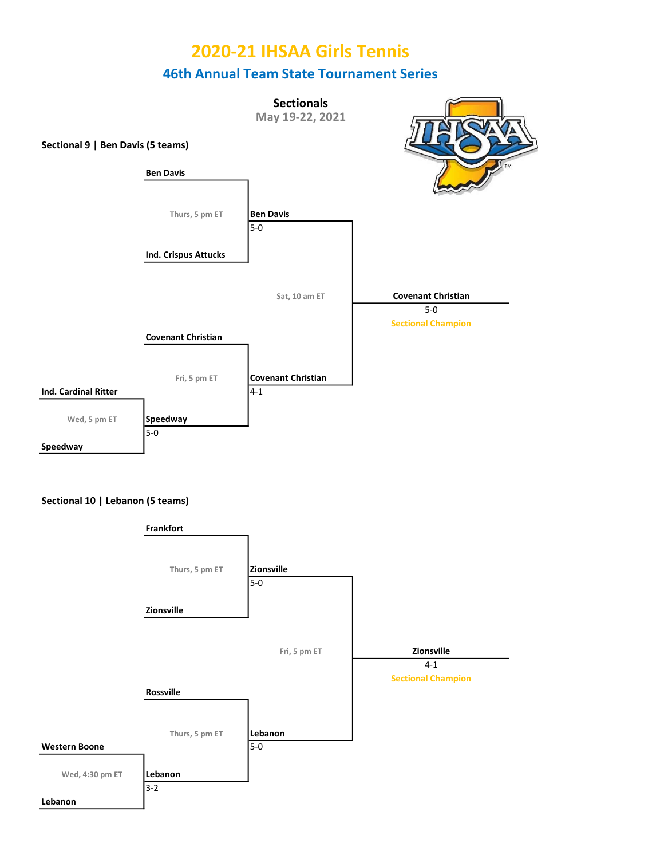



#### Sectional 10 | Lebanon (5 teams)

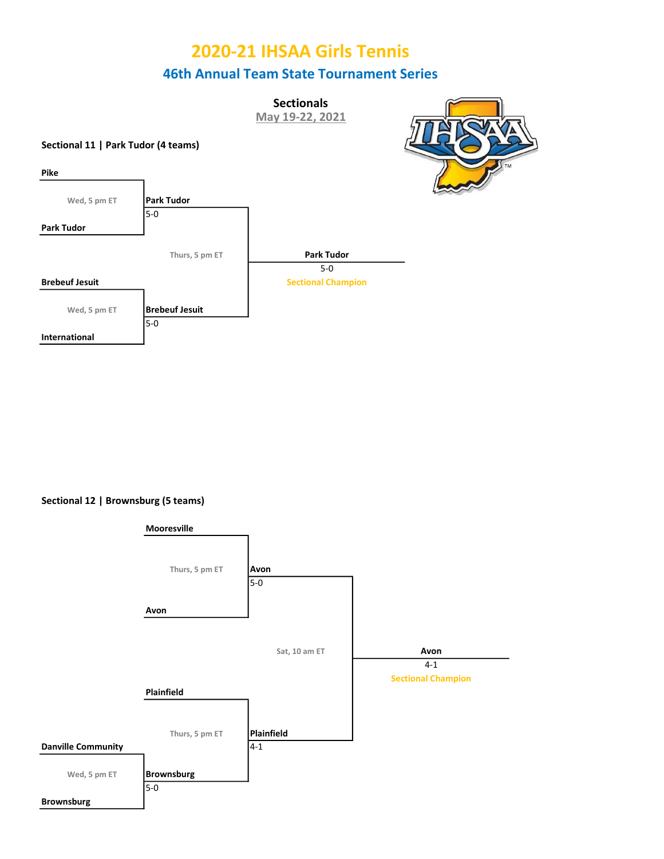**Sectionals** May 19-22, 2021

### Sectional 11 | Park Tudor (4 teams)

Pike





Sectional 12 | Brownsburg (5 teams)

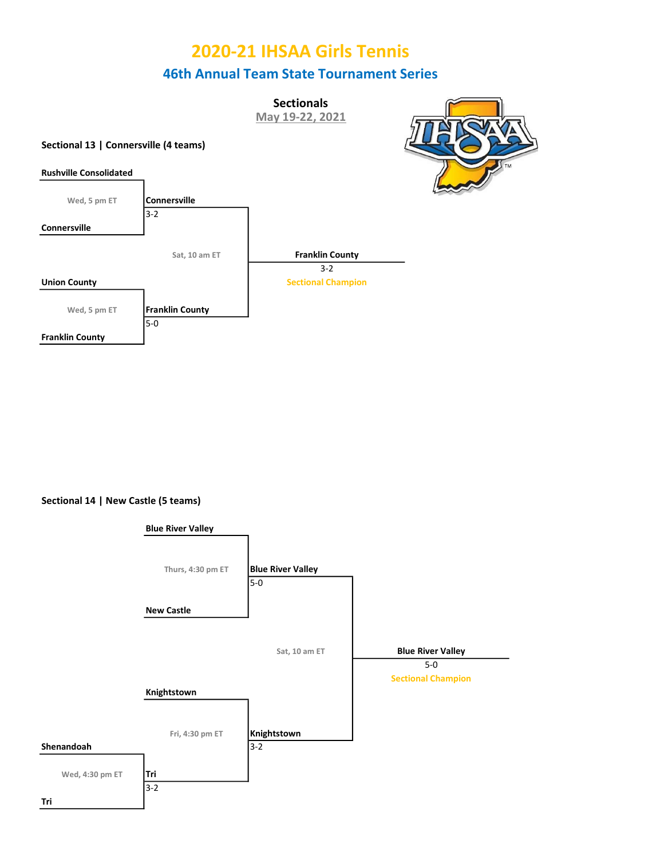**Sectionals** 

May 19-22, 2021

### Sectional 13 | Connersville (4 teams)





Sectional 14 | New Castle (5 teams)

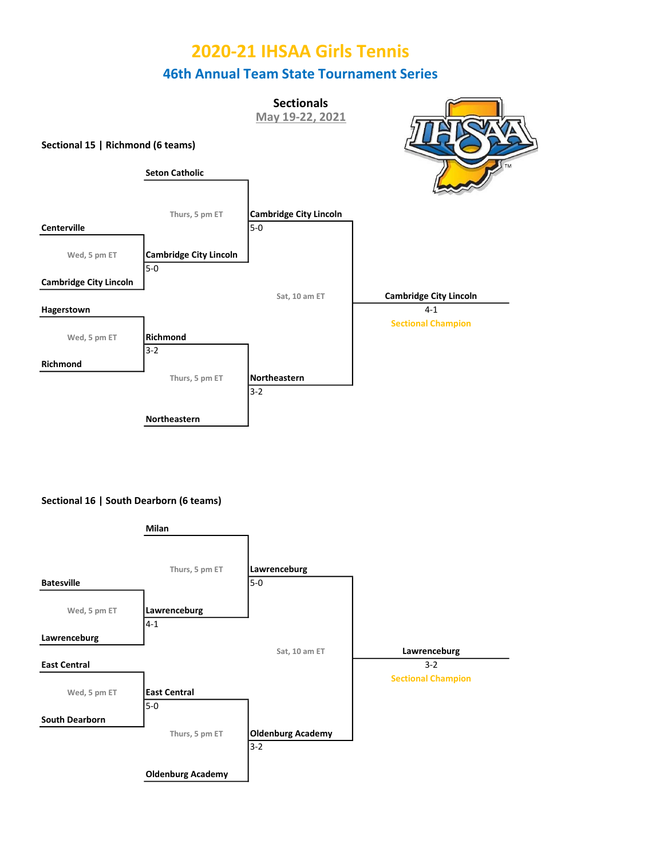



#### Sectional 16 | South Dearborn (6 teams)

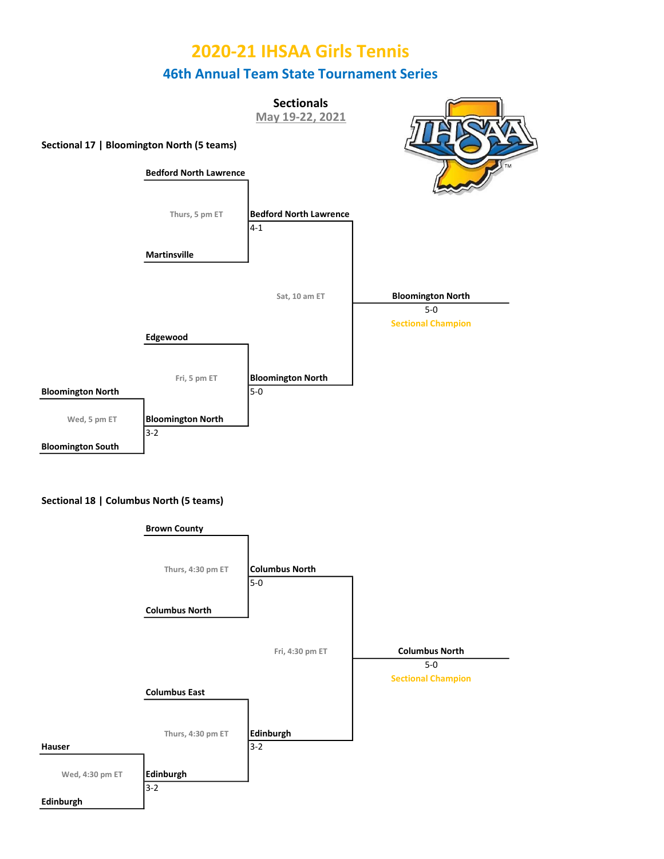

#### Sectional 18 | Columbus North (5 teams)

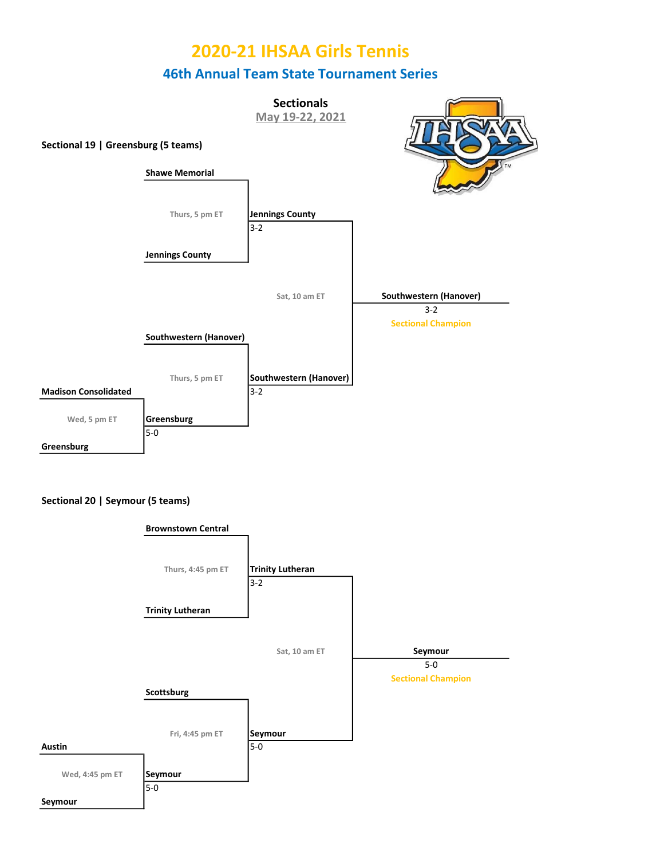

#### Sectional 20 | Seymour (5 teams)

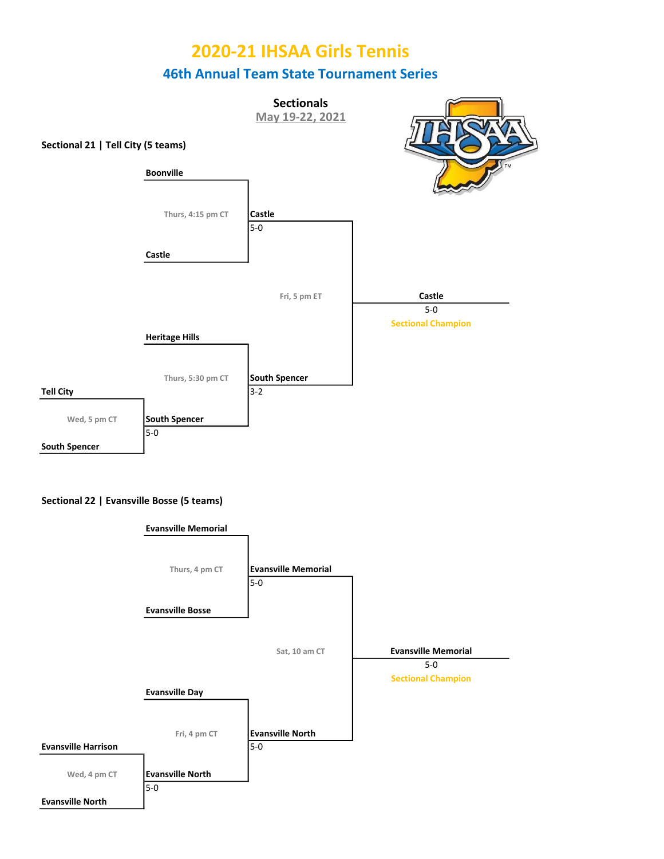



#### Sectional 22 | Evansville Bosse (5 teams)

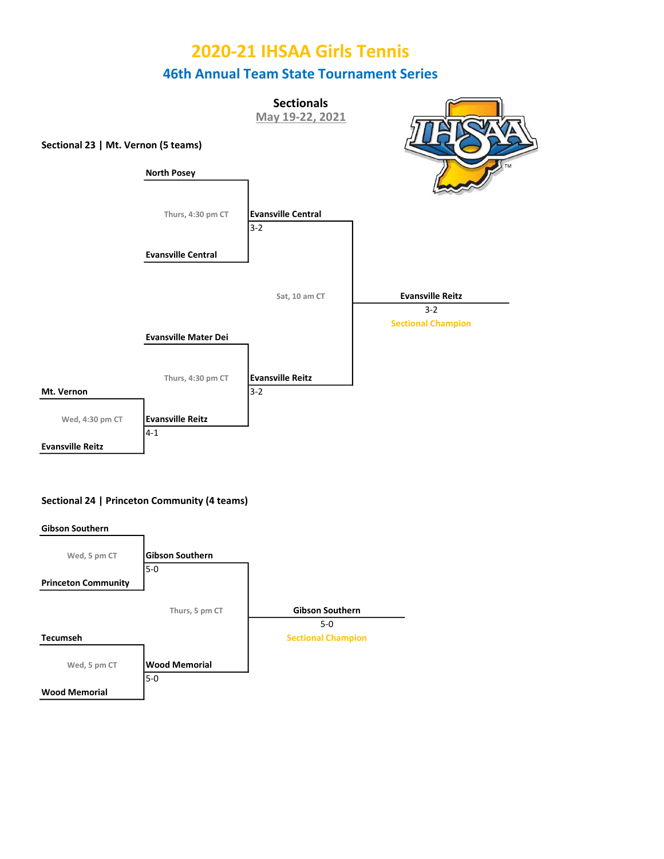

### Sectional 24 | Princeton Community (4 teams)

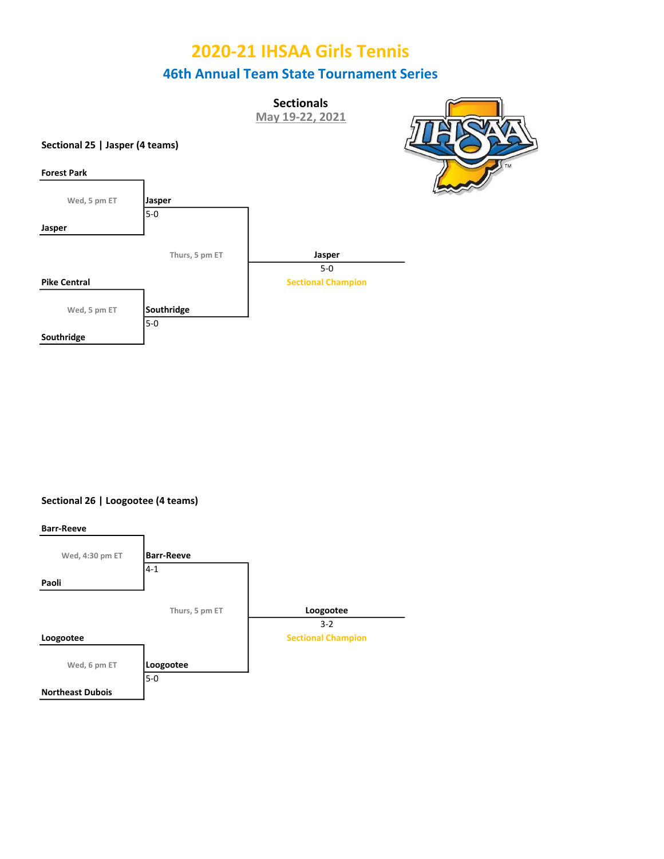**Sectionals** May 19-22, 2021

### Sectional 25 | Jasper (4 teams)

Jasper

Southridge



Sectional 26 | Loogootee (4 teams)

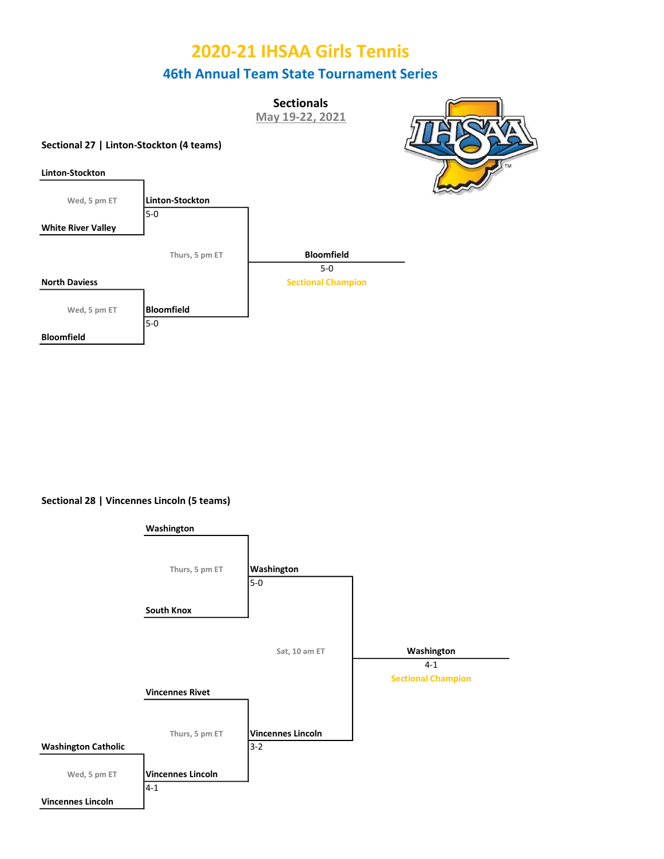**Sectionals** 

May 19-22, 2021

### Sectional 27 | Linton-Stockton (4 teams)



Bloomfield

### Sectional 28 | Vincennes Lincoln (5 teams)

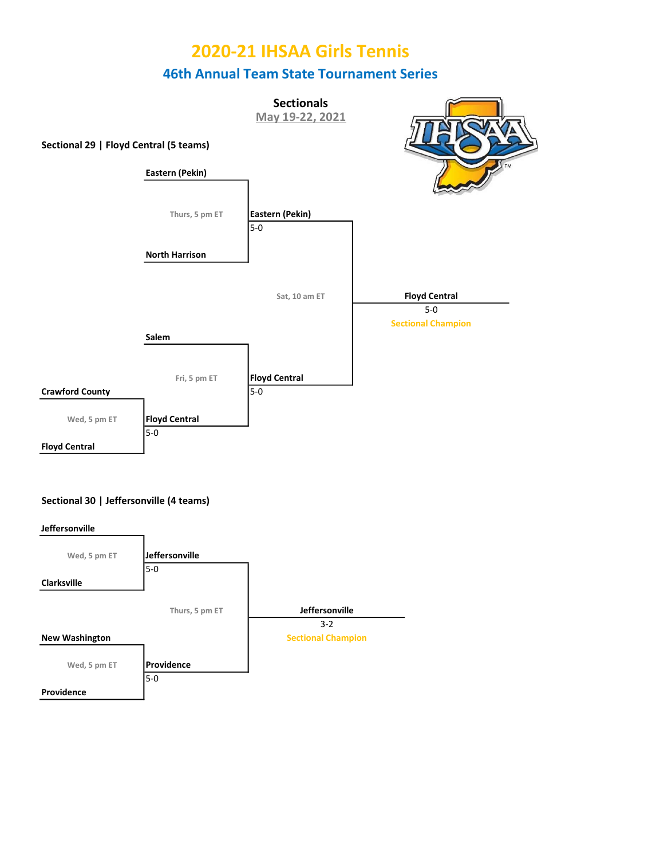

### Sectional 30 | Jeffersonville (4 teams)

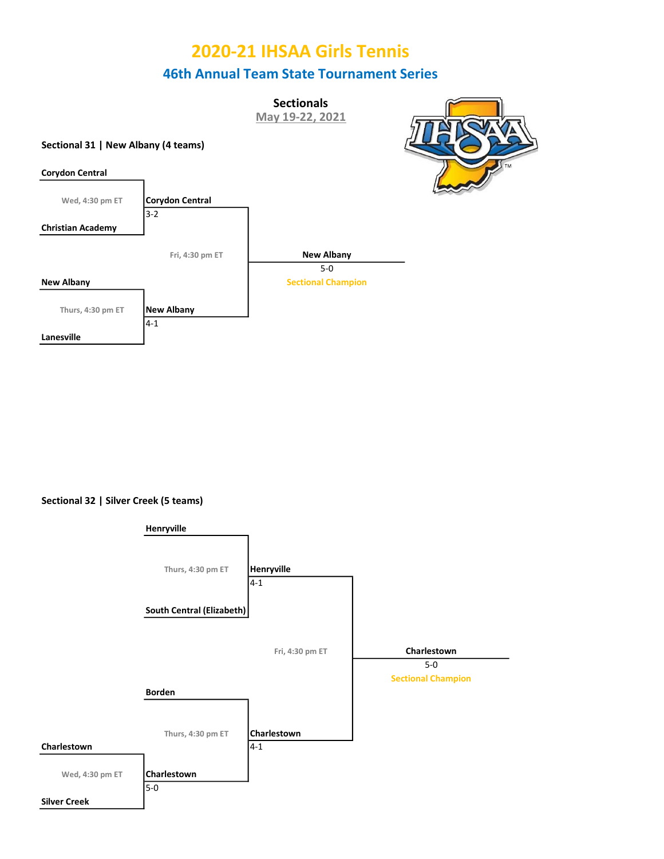**Sectionals** 

May 19-22, 2021

### Sectional 31 | New Albany (4 teams)





Sectional 32 | Silver Creek (5 teams)

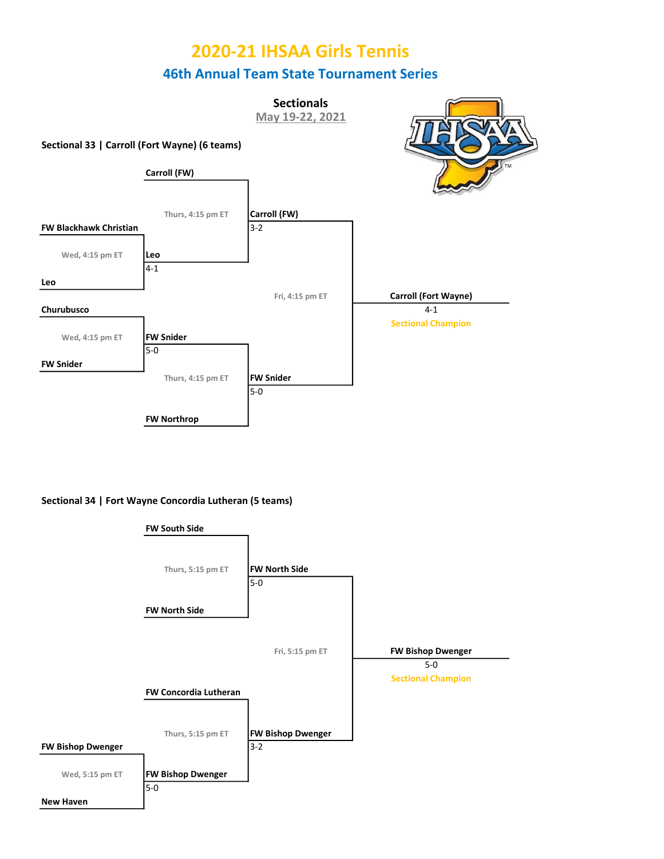

Sectional 34 | Fort Wayne Concordia Lutheran (5 teams)

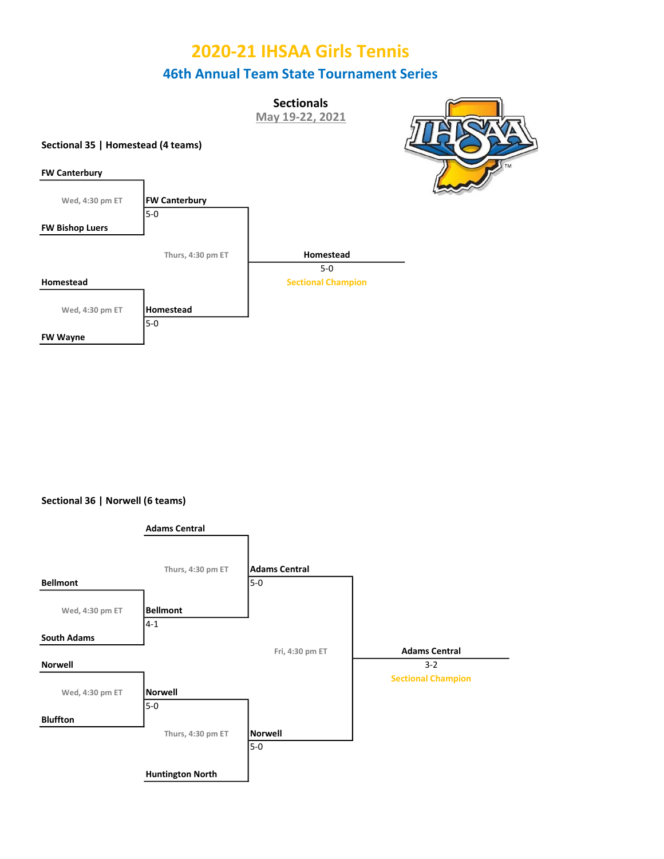**Sectionals** 

May 19-22, 2021

### Sectional 35 | Homestead (4 teams)





Sectional 36 | Norwell (6 teams)

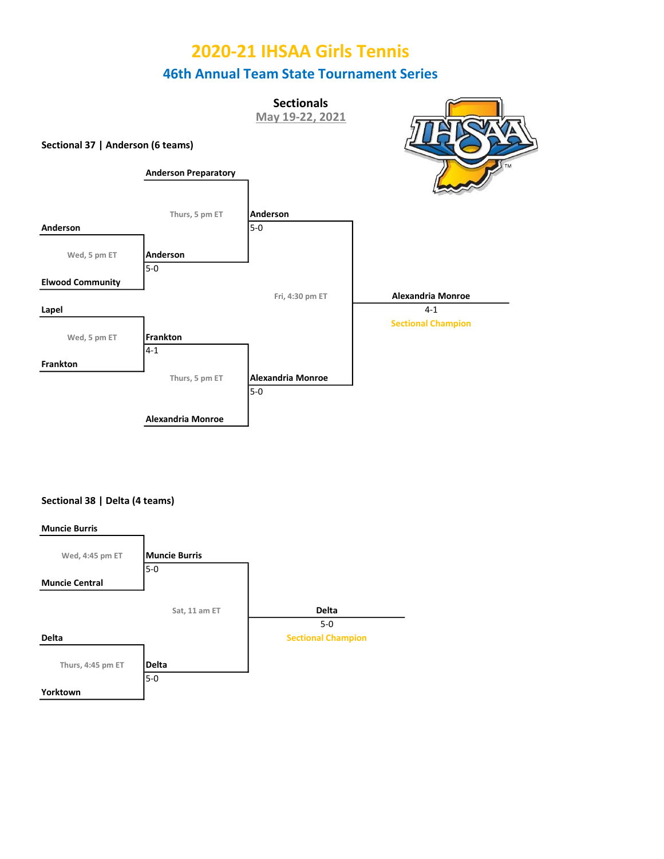**Sectionals** May 19-22, 2021



### Sectional 38 | Delta (4 teams)

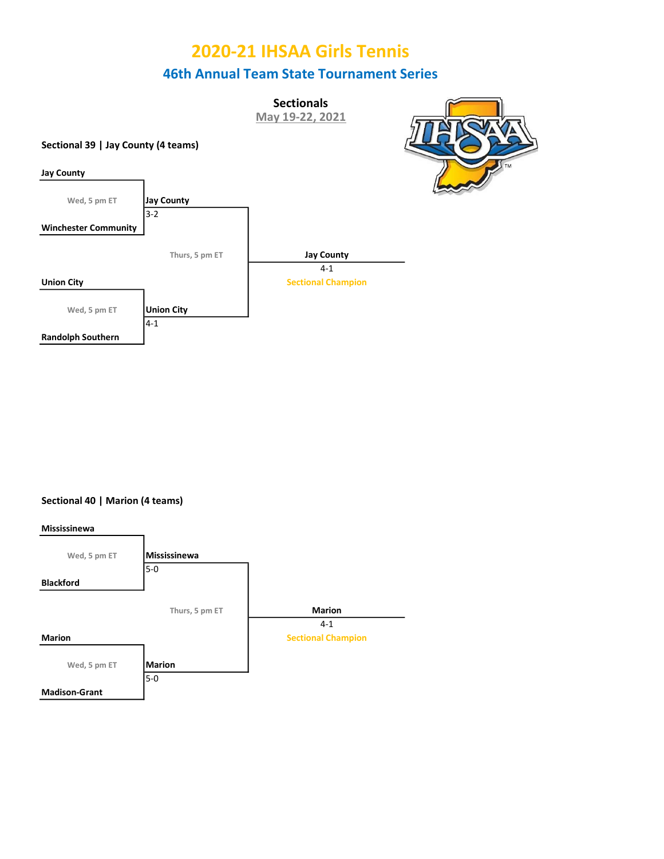**Sectionals** May 19-22, 2021







Sectional 40 | Marion (4 teams)

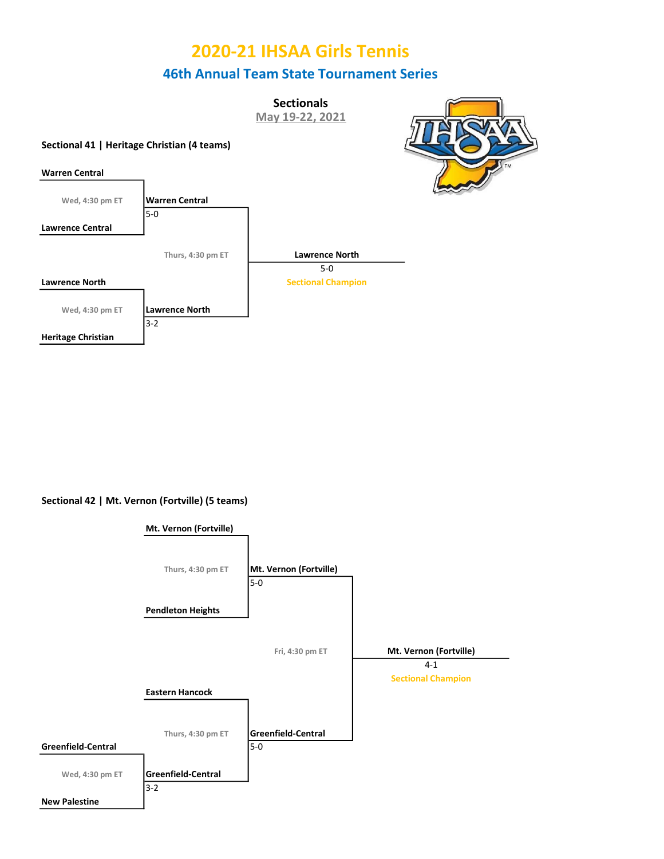**Sectionals** 

May 19-22, 2021

### Sectional 41 | Heritage Christian (4 teams)



Sectional 42 | Mt. Vernon (Fortville) (5 teams)

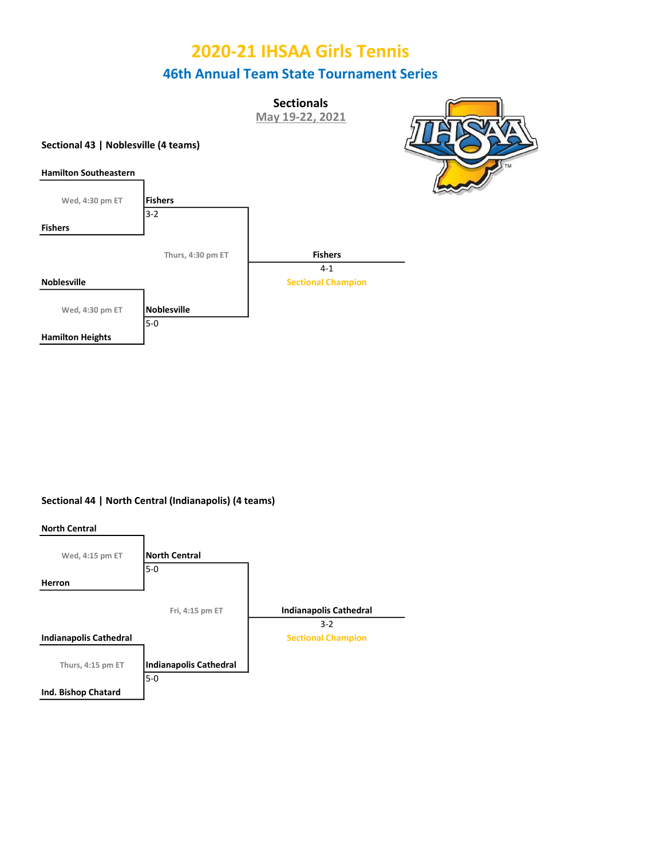**Sectionals** May 19-22, 2021



#### Sectional 43 | Noblesville (4 teams)



### Sectional 44 | North Central (Indianapolis) (4 teams)

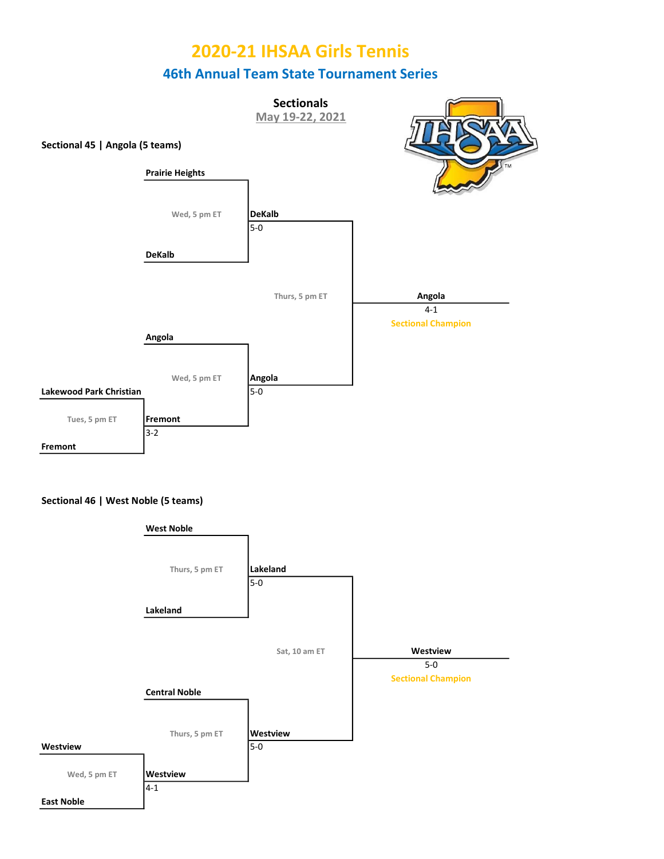

### Sectional 46 | West Noble (5 teams)

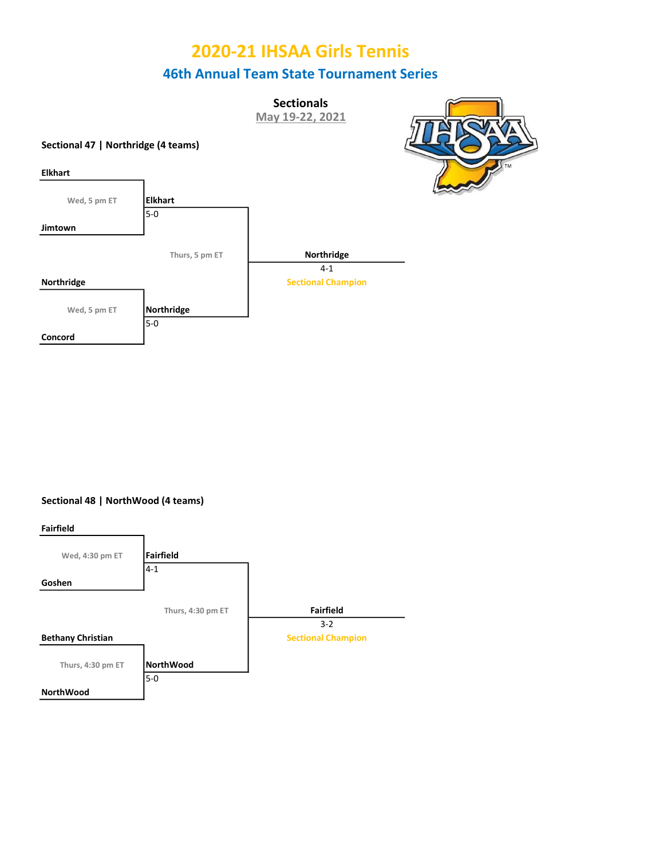**Sectionals** May 19-22, 2021







Sectional 48 | NorthWood (4 teams)

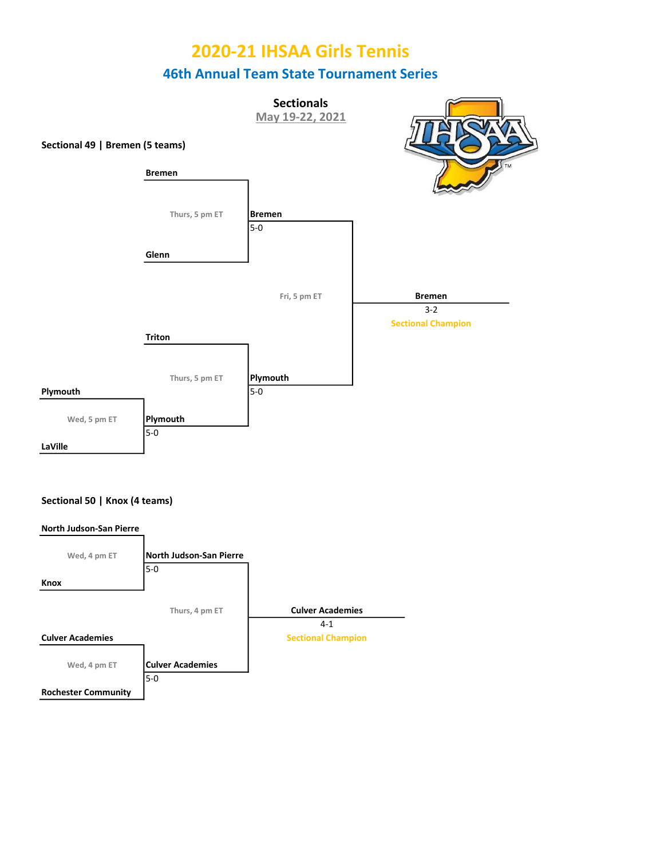



#### Sectional 50 | Knox (4 teams)

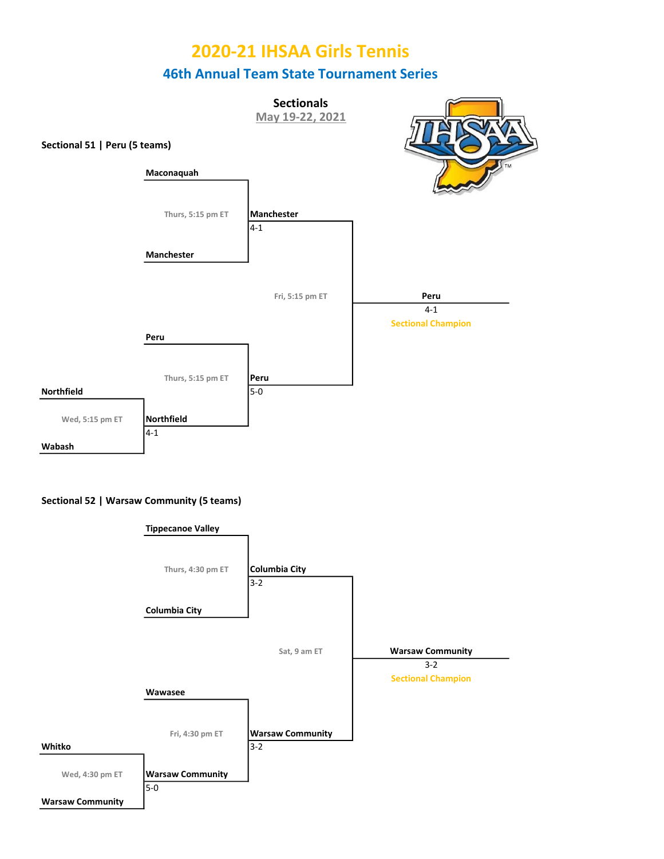



#### Sectional 52 | Warsaw Community (5 teams)

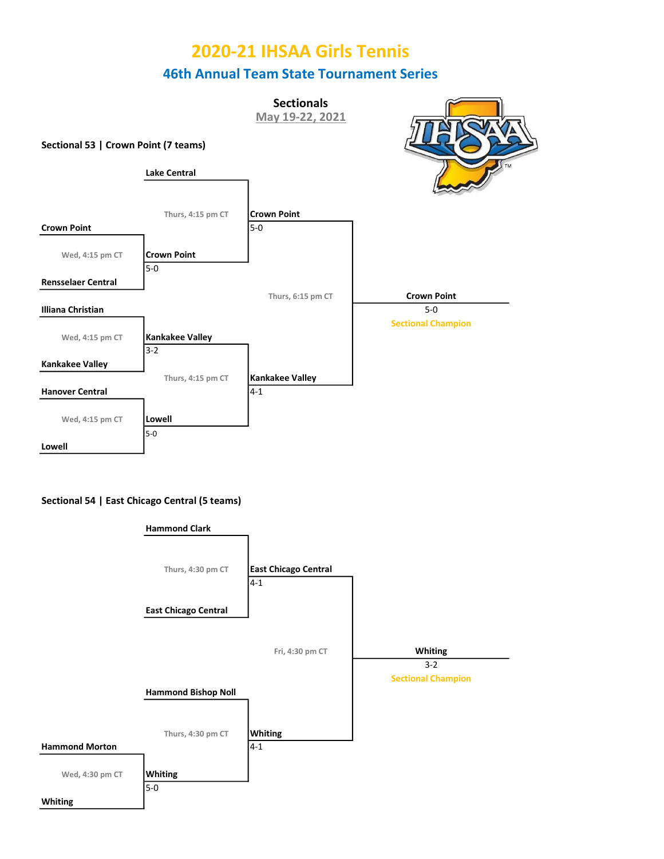Sectional 53 | Crown Point (7 teams) 5-0 **Sectionals** May 19-22, 2021 Lake Central Lowell Kankakee Valley  $3 - 2$ Kankakee Valley Wed, 4:15 pm CT | Lowell Illiana Christian Crown Point Rensselaer Central Wed, 4:15 pm CT  $\overline{5-0}$ Thurs, 4:15 pm CT Crown Point Crown Point 5-0 Wed, 4:15 pm CT Thurs, 6:15 pm CT **Crown Point** 5-0 Sectional Champion Thurs, 4:15 pm CT | Kankakee Valley Hanover Central 4-1

#### Sectional 54 | East Chicago Central (5 teams)

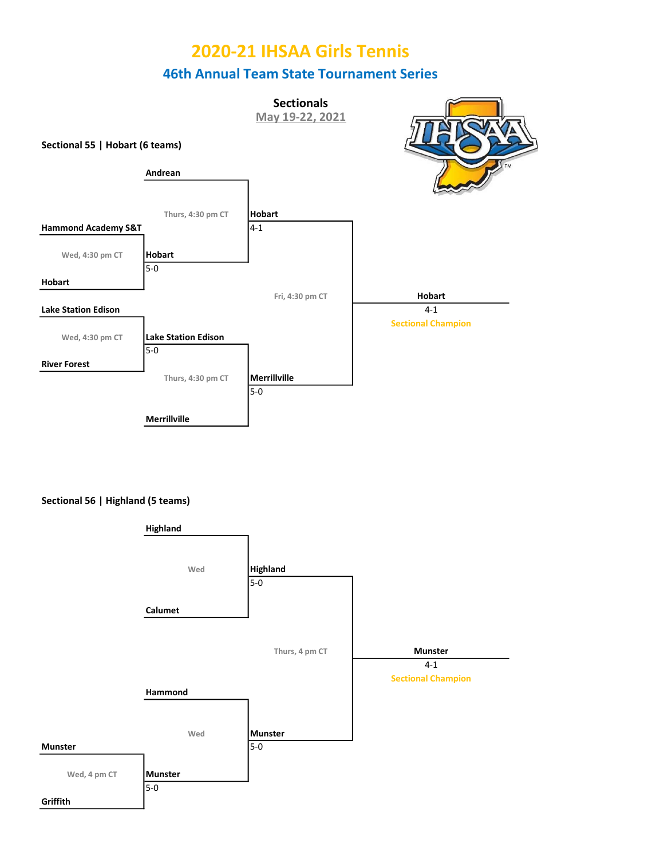



Sectional 56 | Highland (5 teams)

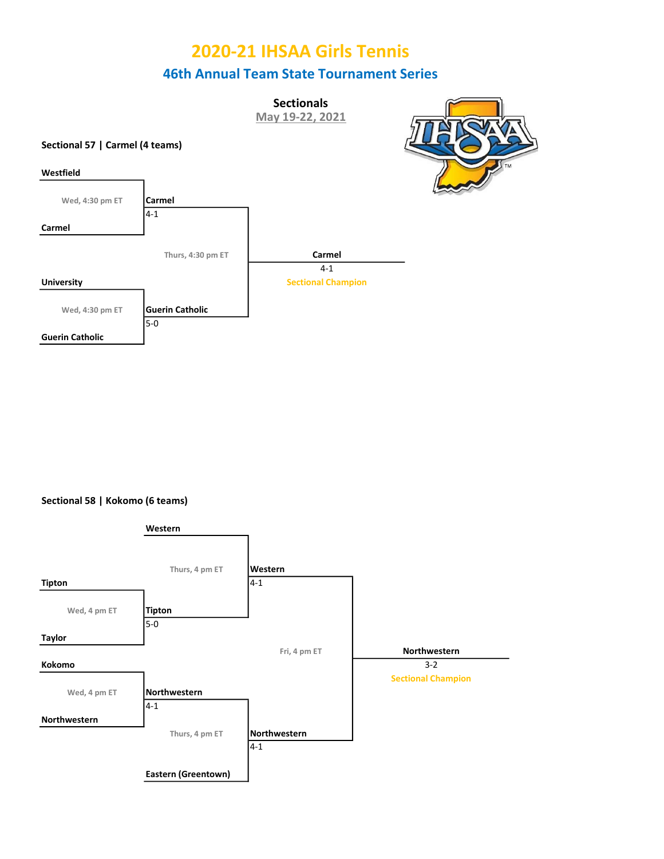**Sectionals** May 19-22, 2021







Sectional 58 | Kokomo (6 teams)

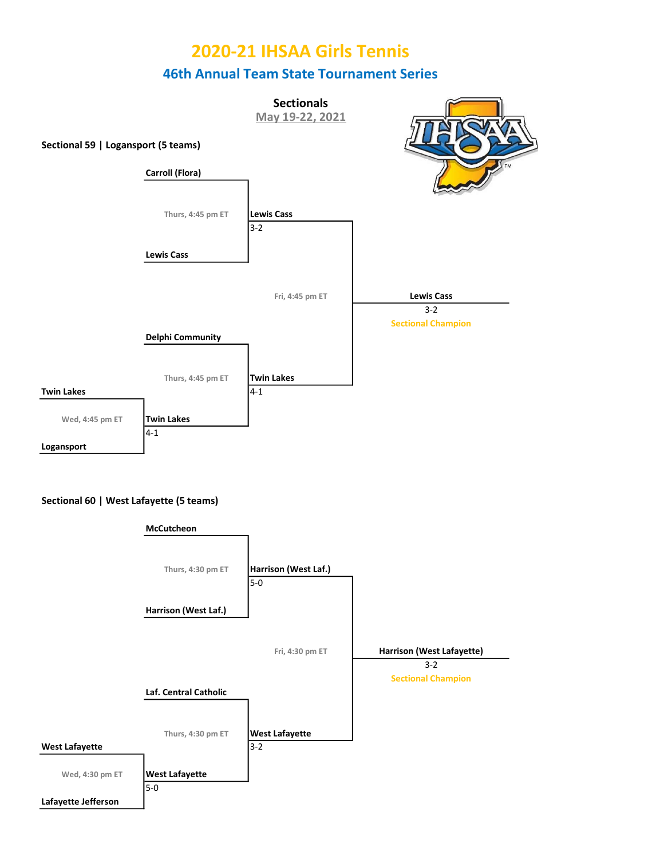



#### Sectional 60 | West Lafayette (5 teams)

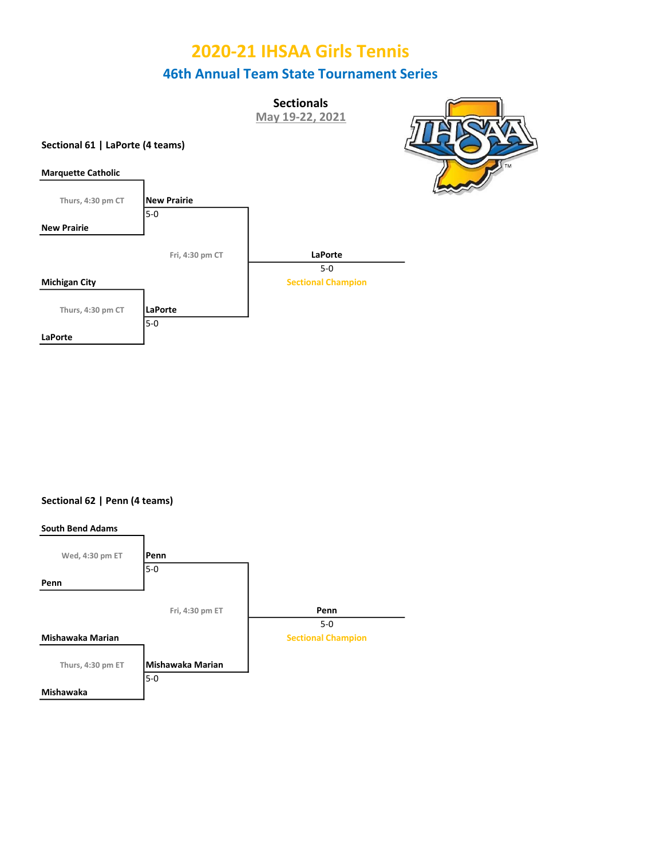**Sectionals** May 19-22, 2021







Sectional 62 | Penn (4 teams)